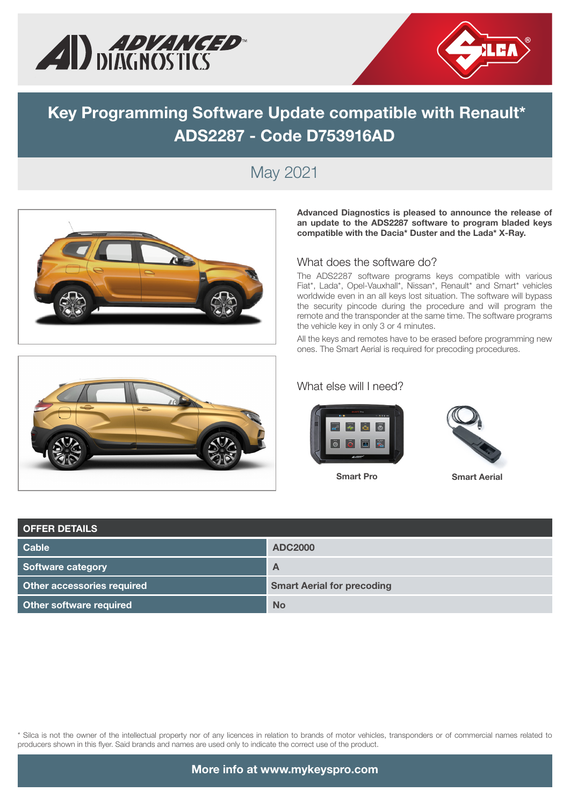



# **Key Programming Software Update compatible with Renault\* ADS2287 - Code D753916AD**

## May 2021





#### What does the software do?

The ADS2287 software programs keys compatible with various Fiat\*, Lada\*, Opel-Vauxhall\*, Nissan\*, Renault\* and Smart\* vehicles worldwide even in an all keys lost situation. The software will bypass the security pincode during the procedure and will program the remote and the transponder at the same time. The software programs the vehicle key in only 3 or 4 minutes.

All the keys and remotes have to be erased before programming new ones. The Smart Aerial is required for precoding procedures.

#### What else will I need?



Smart Pro **Smart Aerial**



| <b>OFFER DETAILS</b>              |                                   |  |  |  |  |  |  |
|-----------------------------------|-----------------------------------|--|--|--|--|--|--|
| <b>Cable</b>                      | <b>ADC2000</b>                    |  |  |  |  |  |  |
| Software category                 | $\mathsf{A}$                      |  |  |  |  |  |  |
| <b>Other accessories required</b> | <b>Smart Aerial for precoding</b> |  |  |  |  |  |  |
| Other software required           | <b>No</b>                         |  |  |  |  |  |  |

\* Silca is not the owner of the intellectual property nor of any licences in relation to brands of motor vehicles, transponders or of commercial names related to producers shown in this flyer. Said brands and names are used only to indicate the correct use of the product.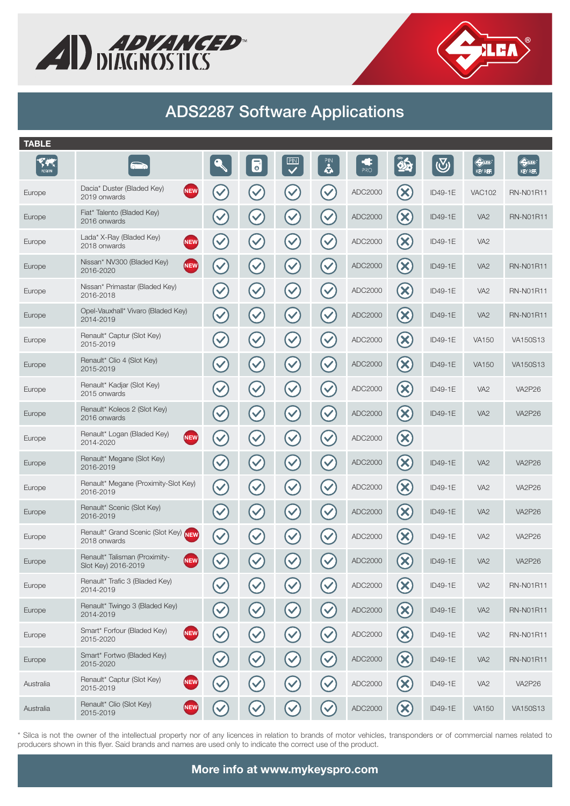



## ADS2287 Software Applications

| <b>TABLE</b>                     |                                                                    |                      |                      |                      |                      |          |                                          |            |                                      |                                        |
|----------------------------------|--------------------------------------------------------------------|----------------------|----------------------|----------------------|----------------------|----------|------------------------------------------|------------|--------------------------------------|----------------------------------------|
| F. <del>M</del><br><b>REGION</b> | $\overline{\circ}$                                                 |                      | 6                    | PIN                  | $\ddot{\bullet}$     | ¢<br>PRO | $\hat{\mathbf{z}}$                       | $\bigcirc$ | $\Leftrightarrow$<br><b>KEY REF.</b> | $\bigoplus_{i=1}^{\infty}$<br>KEY REF. |
| Europe                           | Dacia* Duster (Bladed Key)<br>NEW<br>2019 onwards                  | $\blacktriangledown$ | $\checkmark$         | $\blacktriangledown$ | $\blacktriangledown$ | ADC2000  | $({\bm \times})$                         | ID49-1E    | <b>VAC102</b>                        | <b>RN-N01R11</b>                       |
| Europe                           | Fiat* Talento (Bladed Key)<br>2016 onwards                         | $\blacktriangledown$ | $\blacktriangledown$ | $\blacktriangledown$ | $\blacktriangledown$ | ADC2000  | $\left( \mathsf{x}\right)$               | ID49-1E    | VA <sub>2</sub>                      | <b>RN-N01R11</b>                       |
| Europe                           | Lada* X-Ray (Bladed Key)<br><b>NEW</b><br>2018 onwards             | $\blacktriangledown$ | $\checkmark$         | $\checkmark$         | $\checkmark$         | ADC2000  | $(\mathsf{x})$                           | ID49-1E    | VA <sub>2</sub>                      |                                        |
| Europe                           | Nissan* NV300 (Bladed Key)<br>(NEW)<br>2016-2020                   | $\blacktriangledown$ | $\checkmark$         | $\blacktriangledown$ | $\checkmark$         | ADC2000  | $(\mathsf{x})$                           | ID49-1E    | VA <sub>2</sub>                      | <b>RN-N01R11</b>                       |
| Europe                           | Nissan* Primastar (Bladed Key)<br>2016-2018                        | $\checkmark$         | $\checkmark$         | $\checkmark$         | $\checkmark$         | ADC2000  | $(\mathsf{x})$                           | ID49-1E    | VA <sub>2</sub>                      | <b>RN-N01R11</b>                       |
| Europe                           | Opel-Vauxhall* Vivaro (Bladed Key)<br>2014-2019                    | $\checkmark$         | $\checkmark$         | $\blacktriangledown$ | $\blacktriangledown$ | ADC2000  | $\left( \infty \right)$                  | ID49-1E    | VA <sub>2</sub>                      | <b>RN-N01R11</b>                       |
| Europe                           | Renault* Captur (Slot Key)<br>2015-2019                            | $\blacktriangledown$ | $\blacktriangledown$ | $\blacktriangledown$ | $\blacktriangledown$ | ADC2000  | $\left(\mathsf{x}\right)$                | ID49-1E    | <b>VA150</b>                         | VA150S13                               |
| Europe                           | Renault* Clio 4 (Slot Key)<br>2015-2019                            | $\blacktriangledown$ | $\checkmark$         | $\blacktriangledown$ | $\blacktriangledown$ | ADC2000  | $\infty$                                 | ID49-1E    | <b>VA150</b>                         | VA150S13                               |
| Europe                           | Renault* Kadjar (Slot Key)<br>2015 onwards                         | $\blacktriangledown$ | $\blacktriangledown$ | $\checkmark$         | $\checkmark$         | ADC2000  | $\left(\infty\right)$                    | ID49-1E    | VA <sub>2</sub>                      | <b>VA2P26</b>                          |
| Europe                           | Renault* Koleos 2 (Slot Key)<br>2016 onwards                       | $\blacktriangledown$ | $\blacktriangledown$ | $\blacktriangledown$ | $\checkmark$         | ADC2000  | $\left( \mathsf{x}\right)$               | ID49-1E    | VA <sub>2</sub>                      | <b>VA2P26</b>                          |
| Europe                           | Renault* Logan (Bladed Key)<br><b>NEW</b><br>2014-2020             | $\blacktriangledown$ | $\checkmark$         | $\checkmark$         | $\checkmark$         | ADC2000  | $\left(\!\mathsf{x}\right)$              |            |                                      |                                        |
| Europe                           | Renault* Megane (Slot Key)<br>2016-2019                            | $\blacktriangledown$ | $\blacktriangledown$ | $\blacktriangledown$ | $\checkmark$         | ADC2000  | $\left( \mathsf{x}\right)$               | ID49-1E    | VA <sub>2</sub>                      | <b>VA2P26</b>                          |
| Europe                           | Renault* Megane (Proximity-Slot Key)<br>2016-2019                  | $\checkmark$         | $\tilde{\textbf{v}}$ | $\blacktriangledown$ | $\blacktriangledown$ | ADC2000  | $(\times)$                               | ID49-1E    | VA <sub>2</sub>                      | <b>VA2P26</b>                          |
| Europe                           | Renault* Scenic (Slot Key)<br>2016-2019                            | $\blacktriangledown$ | $\blacktriangledown$ | $\blacktriangledown$ | $\checkmark$         | ADC2000  | $\infty$                                 | ID49-1E    | VA <sub>2</sub>                      | <b>VA2P26</b>                          |
| Europe                           | Renault* Grand Scenic (Slot Key) NEW<br>2018 onwards               | $\checkmark$         | $\checkmark$         | $\blacktriangledown$ | $\blacktriangledown$ | ADC2000  | $(\mathsf{x})$                           | ID49-1E    | VA <sub>2</sub>                      | <b>VA2P26</b>                          |
| Europe                           | Renault* Talisman (Proximity-<br><b>NEW</b><br>Slot Key) 2016-2019 | $\blacktriangledown$ | $\blacktriangledown$ | $\blacktriangledown$ | $\blacktriangledown$ | ADC2000  | $\left( \mathsf{x}\right)$               | ID49-1E    | VA <sub>2</sub>                      | <b>VA2P26</b>                          |
| Europe                           | Renault* Trafic 3 (Bladed Key)<br>2014-2019                        |                      |                      |                      |                      | ADC2000  | $(\mathsf{X})$                           | ID49-1E    | VA <sub>2</sub>                      | <b>RN-N01R11</b>                       |
| Europe                           | Renault* Twingo 3 (Bladed Key)<br>2014-2019                        |                      | $\blacktriangledown$ | $\checkmark$         | $\checkmark$         | ADC2000  | $\left( \mathbf{\mathbf{\times}}\right)$ | ID49-1E    | VA <sub>2</sub>                      | <b>RN-N01R11</b>                       |
| Europe                           | Smart* Forfour (Bladed Key)<br><b>NEW</b><br>2015-2020             |                      | $\checkmark$         | $\blacktriangledown$ | $\checkmark$         | ADC2000  | $(\mathsf{X})$                           | ID49-1E    | VA <sub>2</sub>                      | <b>RN-N01R11</b>                       |
| Europe                           | Smart* Fortwo (Bladed Key)<br>2015-2020                            |                      | $\checkmark$         | $\checkmark$         | $\blacktriangledown$ | ADC2000  | $\infty$                                 | ID49-1E    | VA <sub>2</sub>                      | <b>RN-N01R11</b>                       |
| Australia                        | Renault* Captur (Slot Key)<br><b>NEW</b><br>2015-2019              |                      | $\blacktriangledown$ | $\checkmark$         | $\checkmark$         | ADC2000  | $(\mathsf{X})$                           | ID49-1E    | VA <sub>2</sub>                      | <b>VA2P26</b>                          |
| Australia                        | Renault* Clio (Slot Key)<br>NEW<br>2015-2019                       |                      |                      |                      |                      | ADC2000  | $\mathbf x$                              | ID49-1E    | <b>VA150</b>                         | VA150S13                               |
|                                  |                                                                    |                      |                      |                      |                      |          |                                          |            |                                      |                                        |

\* Silca is not the owner of the intellectual property nor of any licences in relation to brands of motor vehicles, transponders or of commercial names related to producers shown in this flyer. Said brands and names are used only to indicate the correct use of the product.